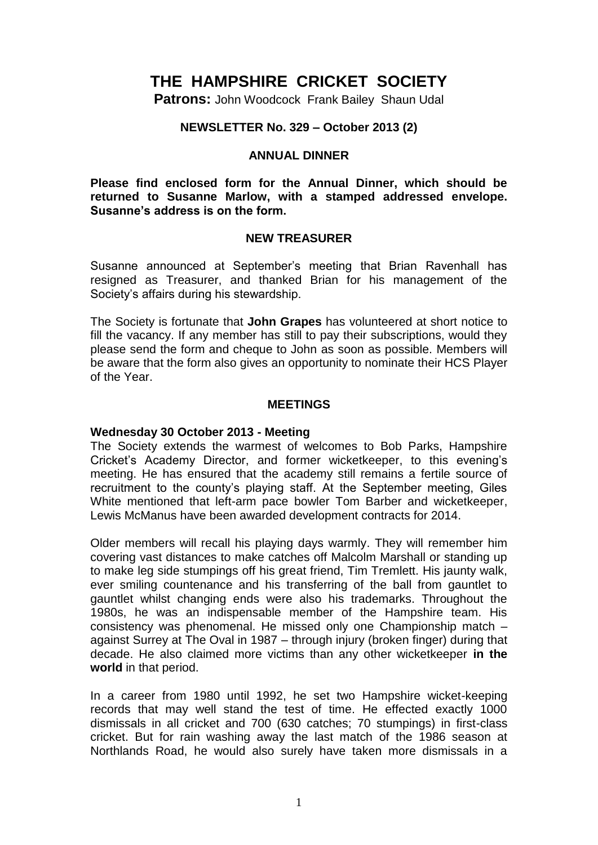# **THE HAMPSHIRE CRICKET SOCIETY**

**Patrons:** John Woodcock Frank Bailey Shaun Udal

#### **NEWSLETTER No. 329 – October 2013 (2)**

#### **ANNUAL DINNER**

**Please find enclosed form for the Annual Dinner, which should be returned to Susanne Marlow, with a stamped addressed envelope. Susanne's address is on the form.** 

## **NEW TREASURER**

Susanne announced at September's meeting that Brian Ravenhall has resigned as Treasurer, and thanked Brian for his management of the Society's affairs during his stewardship.

The Society is fortunate that **John Grapes** has volunteered at short notice to fill the vacancy. If any member has still to pay their subscriptions, would they please send the form and cheque to John as soon as possible. Members will be aware that the form also gives an opportunity to nominate their HCS Player of the Year.

#### **MEETINGS**

#### **Wednesday 30 October 2013 - Meeting**

The Society extends the warmest of welcomes to Bob Parks, Hampshire Cricket's Academy Director, and former wicketkeeper, to this evening's meeting. He has ensured that the academy still remains a fertile source of recruitment to the county's playing staff. At the September meeting, Giles White mentioned that left-arm pace bowler Tom Barber and wicketkeeper, Lewis McManus have been awarded development contracts for 2014.

Older members will recall his playing days warmly. They will remember him covering vast distances to make catches off Malcolm Marshall or standing up to make leg side stumpings off his great friend, Tim Tremlett. His jaunty walk, ever smiling countenance and his transferring of the ball from gauntlet to gauntlet whilst changing ends were also his trademarks. Throughout the 1980s, he was an indispensable member of the Hampshire team. His consistency was phenomenal. He missed only one Championship match – against Surrey at The Oval in 1987 – through injury (broken finger) during that decade. He also claimed more victims than any other wicketkeeper **in the world** in that period.

In a career from 1980 until 1992, he set two Hampshire wicket-keeping records that may well stand the test of time. He effected exactly 1000 dismissals in all cricket and 700 (630 catches; 70 stumpings) in first-class cricket. But for rain washing away the last match of the 1986 season at Northlands Road, he would also surely have taken more dismissals in a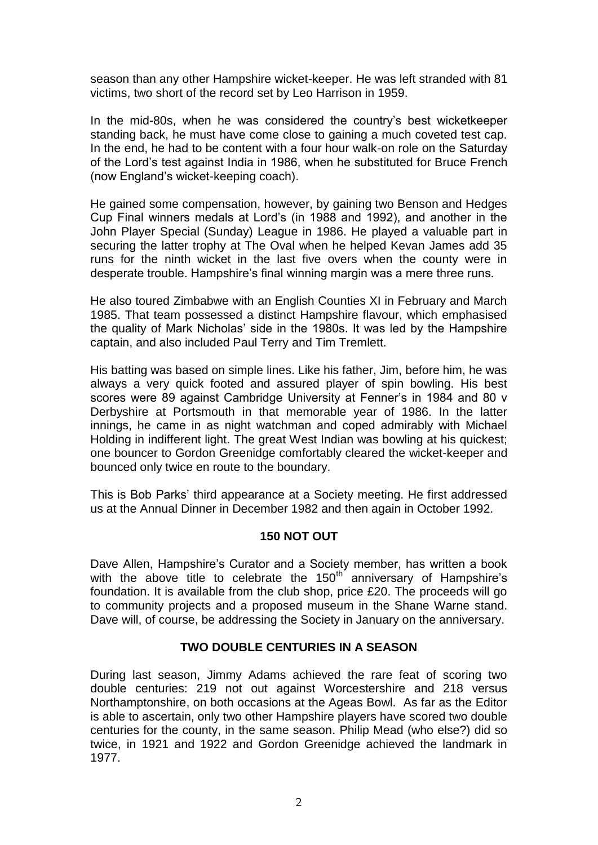season than any other Hampshire wicket-keeper. He was left stranded with 81 victims, two short of the record set by Leo Harrison in 1959.

In the mid-80s, when he was considered the country's best wicketkeeper standing back, he must have come close to gaining a much coveted test cap. In the end, he had to be content with a four hour walk-on role on the Saturday of the Lord's test against India in 1986, when he substituted for Bruce French (now England's wicket-keeping coach).

He gained some compensation, however, by gaining two Benson and Hedges Cup Final winners medals at Lord's (in 1988 and 1992), and another in the John Player Special (Sunday) League in 1986. He played a valuable part in securing the latter trophy at The Oval when he helped Kevan James add 35 runs for the ninth wicket in the last five overs when the county were in desperate trouble. Hampshire's final winning margin was a mere three runs.

He also toured Zimbabwe with an English Counties XI in February and March 1985. That team possessed a distinct Hampshire flavour, which emphasised the quality of Mark Nicholas' side in the 1980s. It was led by the Hampshire captain, and also included Paul Terry and Tim Tremlett.

His batting was based on simple lines. Like his father, Jim, before him, he was always a very quick footed and assured player of spin bowling. His best scores were 89 against Cambridge University at Fenner's in 1984 and 80 v Derbyshire at Portsmouth in that memorable year of 1986. In the latter innings, he came in as night watchman and coped admirably with Michael Holding in indifferent light. The great West Indian was bowling at his quickest; one bouncer to Gordon Greenidge comfortably cleared the wicket-keeper and bounced only twice en route to the boundary.

This is Bob Parks' third appearance at a Society meeting. He first addressed us at the Annual Dinner in December 1982 and then again in October 1992.

## **150 NOT OUT**

Dave Allen, Hampshire's Curator and a Society member, has written a book with the above title to celebrate the  $150<sup>th</sup>$  anniversary of Hampshire's foundation. It is available from the club shop, price £20. The proceeds will go to community projects and a proposed museum in the Shane Warne stand. Dave will, of course, be addressing the Society in January on the anniversary.

## **TWO DOUBLE CENTURIES IN A SEASON**

During last season, Jimmy Adams achieved the rare feat of scoring two double centuries: 219 not out against Worcestershire and 218 versus Northamptonshire, on both occasions at the Ageas Bowl. As far as the Editor is able to ascertain, only two other Hampshire players have scored two double centuries for the county, in the same season. Philip Mead (who else?) did so twice, in 1921 and 1922 and Gordon Greenidge achieved the landmark in 1977.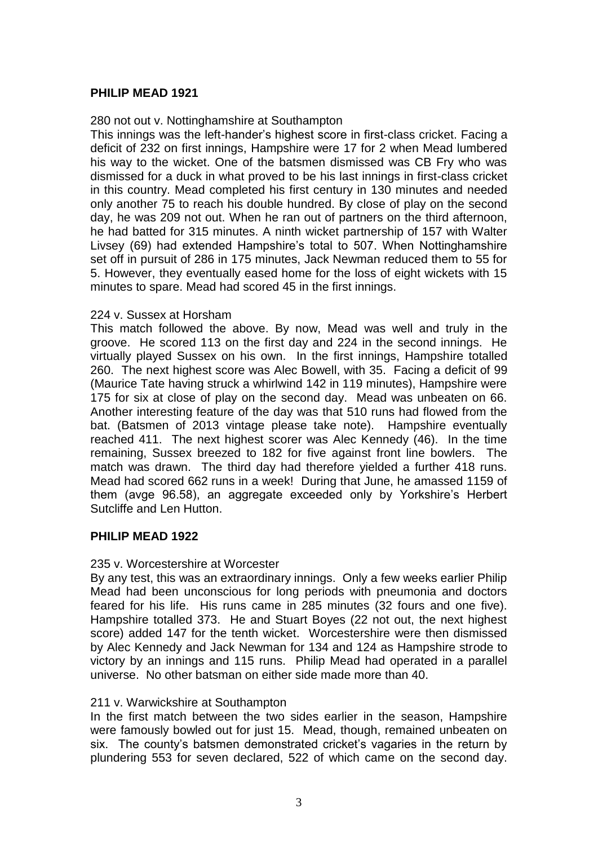## **PHILIP MEAD 1921**

## 280 not out v. Nottinghamshire at Southampton

This innings was the left-hander's highest score in first-class cricket. Facing a deficit of 232 on first innings, Hampshire were 17 for 2 when Mead lumbered his way to the wicket. One of the batsmen dismissed was CB Fry who was dismissed for a duck in what proved to be his last innings in first-class cricket in this country. Mead completed his first century in 130 minutes and needed only another 75 to reach his double hundred. By close of play on the second day, he was 209 not out. When he ran out of partners on the third afternoon, he had batted for 315 minutes. A ninth wicket partnership of 157 with Walter Livsey (69) had extended Hampshire's total to 507. When Nottinghamshire set off in pursuit of 286 in 175 minutes, Jack Newman reduced them to 55 for 5. However, they eventually eased home for the loss of eight wickets with 15 minutes to spare. Mead had scored 45 in the first innings.

#### 224 v. Sussex at Horsham

This match followed the above. By now, Mead was well and truly in the groove. He scored 113 on the first day and 224 in the second innings. He virtually played Sussex on his own. In the first innings, Hampshire totalled 260. The next highest score was Alec Bowell, with 35. Facing a deficit of 99 (Maurice Tate having struck a whirlwind 142 in 119 minutes), Hampshire were 175 for six at close of play on the second day. Mead was unbeaten on 66. Another interesting feature of the day was that 510 runs had flowed from the bat. (Batsmen of 2013 vintage please take note). Hampshire eventually reached 411. The next highest scorer was Alec Kennedy (46). In the time remaining, Sussex breezed to 182 for five against front line bowlers. The match was drawn. The third day had therefore yielded a further 418 runs. Mead had scored 662 runs in a week! During that June, he amassed 1159 of them (avge 96.58), an aggregate exceeded only by Yorkshire's Herbert Sutcliffe and Len Hutton.

#### **PHILIP MEAD 1922**

#### 235 v. Worcestershire at Worcester

By any test, this was an extraordinary innings. Only a few weeks earlier Philip Mead had been unconscious for long periods with pneumonia and doctors feared for his life. His runs came in 285 minutes (32 fours and one five). Hampshire totalled 373. He and Stuart Boyes (22 not out, the next highest score) added 147 for the tenth wicket. Worcestershire were then dismissed by Alec Kennedy and Jack Newman for 134 and 124 as Hampshire strode to victory by an innings and 115 runs. Philip Mead had operated in a parallel universe. No other batsman on either side made more than 40.

#### 211 v. Warwickshire at Southampton

In the first match between the two sides earlier in the season, Hampshire were famously bowled out for just 15. Mead, though, remained unbeaten on six. The county's batsmen demonstrated cricket's vagaries in the return by plundering 553 for seven declared, 522 of which came on the second day.